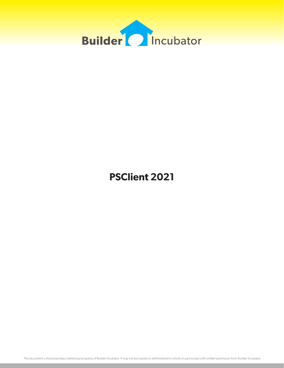

# **PSClient 2021**

This document is the proprietary intellectual property of Builder Incubator. It may not be copied or administered in whole or part except with written permission from Builder Incubator.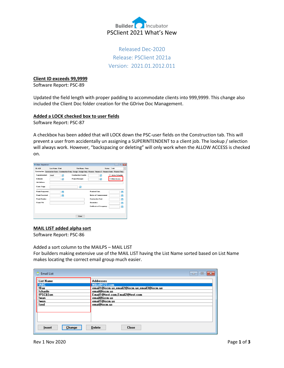

# Released Dec-2020 Release: PSClient 2021a Version: 2021.01.2012.011

#### **Client ID exceeds 99,9999**

Software Report: PSC-89

Updated the field length with proper padding to accommodate clients into 999,9999. This change also included the Client Doc folder creation for the GDrive Doc Management.

### **Added a LOCK checked box to user fields**

Software Report: PSC-87

A checkbox has been added that will LOCK down the PSC-user fields on the Construction tab. This will prevent a user from accidentally un assigning a SUPERINTENDENT to a client job. The lookup / selection will always work. However, "backspacing or deleting" will only work when the ALLOW ACCESS is checked on.

| Client - Department      |                         |                                                                                                                      |                  |                              |              |                                  |         |      | -- 0                   | $-13$        |
|--------------------------|-------------------------|----------------------------------------------------------------------------------------------------------------------|------------------|------------------------------|--------------|----------------------------------|---------|------|------------------------|--------------|
| <b>ID: A28</b>           | <b>Last Name: Clark</b> |                                                                                                                      |                  | <b>First Name: Peter</b>     |              |                                  | Status: | Sold |                        | $\checkmark$ |
|                          |                         | Construction Construction Dates Construction Entry Design Design Entry Finance Finance 2 Finance Dates Finance Entry |                  |                              |              |                                  |         |      |                        |              |
| Superintendent:          | DAVE                    | ۵                                                                                                                    |                  | <b>Construction Coordin:</b> |              | Q                                |         |      | <b>Active Schedule</b> |              |
| Estimator:               |                         | Q                                                                                                                    | Project Manager: |                              |              | Q                                |         |      | <b>Allow Access</b>    |              |
| <b>Job Address:</b>      |                         |                                                                                                                      |                  |                              |              |                                  |         |      |                        |              |
| Const. Stage:            |                         |                                                                                                                      |                  | Q                            |              |                                  |         |      |                        |              |
| <b>Permit Requested:</b> |                         | H                                                                                                                    |                  |                              |              | <b>Promised Date:</b>            |         |      |                        | 鲕            |
| <b>Permit Beceived:</b>  |                         | ≅                                                                                                                    |                  |                              |              | <b>Notice of Commencement:</b>   |         |      |                        | 嗇            |
| <b>Permit Number:</b>    |                         |                                                                                                                      |                  |                              |              | <b>Construction Start:</b>       |         |      |                        | 龠            |
| Permit PIN:              |                         |                                                                                                                      |                  |                              | Orientation: |                                  |         |      |                        | 嗇            |
|                          |                         |                                                                                                                      |                  |                              |              | <b>Certificate of Occupancy:</b> |         |      |                        | m            |
|                          |                         |                                                                                                                      |                  |                              |              |                                  |         |      |                        |              |
|                          |                         |                                                                                                                      |                  | Close                        |              |                                  |         |      |                        |              |

#### **MAIL LIST added alpha sort**

Software Report: PSC-86

Added a sort column to the MAILPS – MAIL LIST

For builders making extensive use of the MAIL LIST having the List Name sorted based on List Name makes locating the correct email group much easier.

| <b>Email List</b>       | -23<br>$\vert$<br>▭                              |
|-------------------------|--------------------------------------------------|
| <b>List Name</b>        | <b>Addresses</b>                                 |
| <b>IABC</b>             | Mike@123.com                                     |
| !Bay                    | email1@iscm.us,email2@iscm.ue,email3@iscm.ue     |
| !charile<br>!PSC&Son    | email@iscm.us<br>Email1@test.com.Email2@test.com |
| !wan                    | email@iscm.us                                    |
| !wen                    | email1@iscm.us                                   |
| !zed                    | emai@iscm.us                                     |
|                         |                                                  |
|                         |                                                  |
|                         |                                                  |
|                         |                                                  |
| <b>Change</b><br>Insert | <b>Delete</b><br><b>Close</b>                    |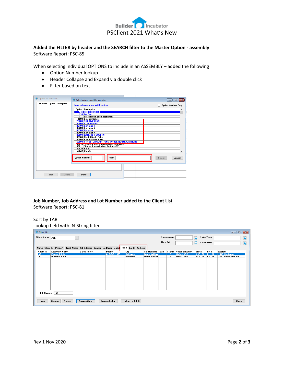

# **Added the FILTER by header and the SEARCH filter to the Master Option - assembly**

Software Report: PSC-85

When selecting individual OPTIONS to include in an ASSEMBLY – added the following

- Option Number lookup
- Header Collapse and Expand via double click
- Filter based on text

| Option Assembly List             | Select option to add to assembly                                                                                                                                                                                                                                                                                                                                                                                                                                                                                                                                                                                                                         | $-23$<br>$\Box$<br>$\Box$                                  |
|----------------------------------|----------------------------------------------------------------------------------------------------------------------------------------------------------------------------------------------------------------------------------------------------------------------------------------------------------------------------------------------------------------------------------------------------------------------------------------------------------------------------------------------------------------------------------------------------------------------------------------------------------------------------------------------------------|------------------------------------------------------------|
| <b>Number</b> Option Description | Items in blue are not valid choices.<br><b>Option</b> Description<br><b>100 LOT PREMIUMS</b><br>110 Lot Cost<br>111 Lot Premium price adjustment<br>$\frac{1000}{2}$ $\frac{1}{2}$<br><b>TOOL ENGINEERING</b><br><b>20000 SUBDIVISIONS</b><br>30000 ELEVATIONS<br>30100 Elevation 1<br>30200 Elevation 2<br>30300 Riverside<br>30400 Elevation 4<br>40000 EXTERIOR COLORS<br>40100 Roof Shingle Color<br>40500 Exterior Paint Color<br><b>60000 STRUCTURAL OPTIONS WHOLE ROOM ADDITIONS</b><br>60010 "Select Bonus Room (Bath 4, Bedroom 5)<br>60011 Bonus Room (Bath 4, Bedroom 5)"<br>60020 Bath 4<br>60022 Bath 5<br><b>Option Number:</b><br>Filter: | <b>Option Headers Only</b><br>$\wedge$<br>Select<br>Cancel |
| Delete<br>Insert                 | Done                                                                                                                                                                                                                                                                                                                                                                                                                                                                                                                                                                                                                                                     |                                                            |

# **Job Number, Job Address and Lot Number added to the Client List**

Software Report: PSC-81

## Sort by TAB

### Lookup field with IN-String filter

| Client List     |                                                                                          |                    |               |                  |                       |              |                               |               |              | $\Box$ e          | $\mathbf{x}$            |
|-----------------|------------------------------------------------------------------------------------------|--------------------|---------------|------------------|-----------------------|--------------|-------------------------------|---------------|--------------|-------------------|-------------------------|
|                 | <b>Client Status: ALL</b>                                                                | $\checkmark$       |               |                  |                       | Salesperson: |                               | $\mathbf{Q}$  | Sales Team:  |                   | $\Omega$                |
|                 |                                                                                          |                    |               |                  |                       | User Ref:    |                               | Q             | Subdivision: |                   | $\overline{\mathbf{Q}}$ |
|                 | Name Client ID Phone 1 Quick Notes Job Address Lender Co-Buyer Model Job # Lot # Address |                    |               |                  |                       |              |                               |               |              |                   |                         |
| Client ID       | <b>Last/First Name</b>                                                                   | <b>Quick Notes</b> | Phone 1       | Lity             | Salesperson Team      |              | <b>Status Model Elevation</b> | Job #         | $Lot $ #     | <b>Address</b>    |                         |
| $\frac{AT}{A3}$ | <b>Foster, Eddie</b>                                                                     |                    | 813-747-9965  | <b>Baltimore</b> | <b>Darrel William</b> | s.           | Alafia - ASG                  | <b>ASG101</b> | $01 - 101$   | 1549 Northgate    |                         |
|                 | Williams, Ernie                                                                          |                    |               | <b>Baltimore</b> | Darrel William        | s            | Alafia - ECR                  | <b>ECR101</b> | $02 - 101$   | 1682 Stonewood Rd |                         |
|                 |                                                                                          |                    |               |                  |                       |              |                               |               |              |                   |                         |
|                 | Job Number: 101                                                                          |                    |               |                  |                       |              |                               |               |              |                   |                         |
| Insert          | Change<br>Delete                                                                         | Transactions       | Lookup by Lot | Lookup by Job #  |                       |              |                               |               |              | Close             |                         |